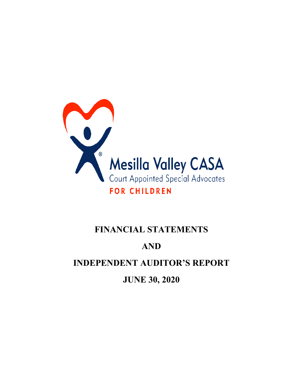

# **FINANCIAL STATEMENTS**

# **AND**

# **INDEPENDENT AUDITOR'S REPORT**

**JUNE 30, 2020**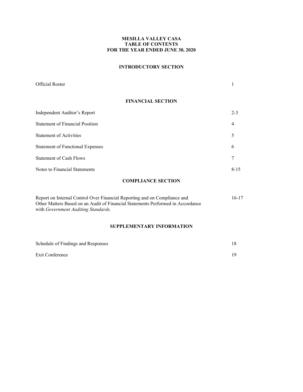## **MESILLA VALLEY CASA TABLE OF CONTENTS FOR THE YEAR ENDED JUNE 30, 2020**

## **INTRODUCTORY SECTION**

| <b>Official Roster</b>                  |                |
|-----------------------------------------|----------------|
| <b>FINANCIAL SECTION</b>                |                |
| Independent Auditor's Report            | $2 - 3$        |
| <b>Statement of Financial Position</b>  | $\overline{4}$ |
| <b>Statement of Activities</b>          | 5              |
| <b>Statement of Functional Expenses</b> | 6              |
| <b>Statement of Cash Flows</b>          | 7              |
| Notes to Financial Statements           | $8 - 15$       |

## **COMPLIANCE SECTION**

| Report on Internal Control Over Financial Reporting and on Compliance and       | 16-17 |
|---------------------------------------------------------------------------------|-------|
| Other Matters Based on an Audit of Financial Statements Performed in Accordance |       |
| with <i>Government Auditing Standards</i> .                                     |       |

## **SUPPLEMENTARY INFORMATION**

| Schedule of Findings and Responses |     |
|------------------------------------|-----|
| Exit Conference                    | 19. |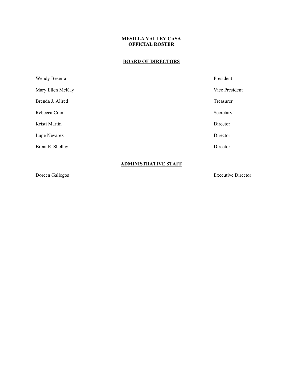## **MESILLA VALLEY CASA OFFICIAL ROSTER**

# **BOARD OF DIRECTORS**

| Wendy Beserra    | President      |
|------------------|----------------|
| Mary Ellen McKay | Vice President |
| Brenda J. Allred | Treasurer      |
| Rebecca Cram     | Secretary      |
| Kristi Martin    | Director       |
| Lupe Nevarez     | Director       |
| Brent E. Shelley | Director       |

# **ADMINISTRATIVE STAFF**

Doreen Gallegos Executive Director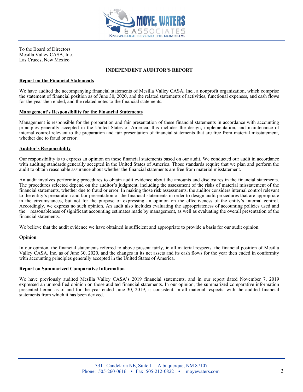

To the Board of Directors Mesilla Valley CASA, Inc. Las Cruces, New Mexico

#### **INDEPENDENT AUDITOR'S REPORT**

#### **Report on the Financial Statements**

We have audited the accompanying financial statements of Mesilla Valley CASA, Inc., a nonprofit organization, which comprise the statement of financial position as of June 30, 2020, and the related statements of activities, functional expenses, and cash flows for the year then ended, and the related notes to the financial statements.

## **Management's Responsibility for the Financial Statements**

Management is responsible for the preparation and fair presentation of these financial statements in accordance with accounting principles generally accepted in the United States of America; this includes the design, implementation, and maintenance of internal control relevant to the preparation and fair presentation of financial statements that are free from material misstatement, whether due to fraud or error.

## **Auditor's Responsibility**

Our responsibility is to express an opinion on these financial statements based on our audit. We conducted our audit in accordance with auditing standards generally accepted in the United States of America. Those standards require that we plan and perform the audit to obtain reasonable assurance about whether the financial statements are free from material misstatement.

An audit involves performing procedures to obtain audit evidence about the amounts and disclosures in the financial statements. The procedures selected depend on the auditor's judgment, including the assessment of the risks of material misstatement of the financial statements, whether due to fraud or error. In making those risk assessments, the auditor considers internal control relevant to the entity's preparation and fair presentation of the financial statements in order to design audit procedures that are appropriate in the circumstances, but not for the purpose of expressing an opinion on the effectiveness of the entity's internal control. Accordingly, we express no such opinion. An audit also includes evaluating the appropriateness of accounting policies used and the reasonableness of significant accounting estimates made by management, as well as evaluating the overall presentation of the financial statements.

We believe that the audit evidence we have obtained is sufficient and appropriate to provide a basis for our audit opinion.

## **Opinion**

In our opinion, the financial statements referred to above present fairly, in all material respects, the financial position of Mesilla Valley CASA, Inc. as of June 30, 2020, and the changes in its net assets and its cash flows for the year then ended in conformity with accounting principles generally accepted in the United States of America.

#### **Report on Summarized Comparative Information**

We have previously audited Mesilla Valley CASA's 2019 financial statements, and in our report dated November 7, 2019 expressed an unmodified opinion on those audited financial statements. In our opinion, the summarized comparative information presented herein as of and for the year ended June 30, 2019, is consistent, in all material respects, with the audited financial statements from which it has been derived.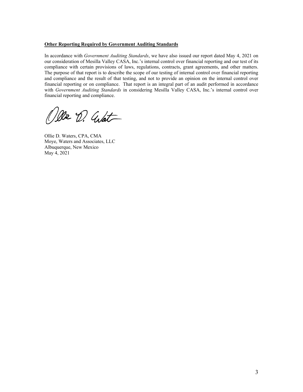## **Other Reporting Required by Government Auditing Standards**

In accordance with *Government Auditing Standards*, we have also issued our report dated May 4, 2021 on our consideration of Mesilla Valley CASA, Inc.'s internal control over financial reporting and our test of its compliance with certain provisions of laws, regulations, contracts, grant agreements, and other matters. The purpose of that report is to describe the scope of our testing of internal control over financial reporting and compliance and the result of that testing, and not to provide an opinion on the internal control over financial reporting or on compliance. That report is an integral part of an audit performed in accordance with *Government Auditing Standards* in considering Mesilla Valley CASA, Inc.'s internal control over financial reporting and compliance.

De D. Wat

Ollie D. Waters, CPA, CMA Moye, Waters and Associates, LLC Albuquerque, New Mexico May 4, 2021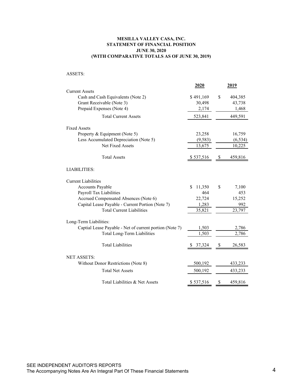## **MESILLA VALLEY CASA, INC. STATEMENT OF FINANCIAL POSITION JUNE 30, 2020 (WITH COMPARATIVE TOTALS AS OF JUNE 30, 2019)**

## ASSETS:

|                                                         | 2020         |    | <u>2019</u> |
|---------------------------------------------------------|--------------|----|-------------|
| <b>Current Assets</b>                                   |              |    |             |
| Cash and Cash Equivalents (Note 2)                      | \$491,169    | \$ | 404,385     |
| Grant Receivable (Note 3)                               | 30,498       |    | 43,738      |
| Prepaid Expenses (Note 4)                               | 2,174        |    | 1,468       |
| <b>Total Current Assets</b>                             | 523,841      |    | 449,591     |
| <b>Fixed Assets</b>                                     |              |    |             |
| Property & Equipment (Note 5)                           | 23,258       |    | 16,759      |
| Less Accumulated Depreciation (Note 5)                  | (9, 583)     |    | (6, 534)    |
| Net Fixed Assets                                        | 13,675       |    | 10,225      |
| <b>Total Assets</b>                                     | \$537,516    | \$ | 459,816     |
| LIABILITIES:                                            |              |    |             |
| <b>Current Liabilities</b>                              |              |    |             |
| <b>Accounts Payable</b>                                 | \$<br>11,350 | \$ | 7,100       |
| Payroll Tax Liabilities                                 | 464          |    | 453         |
| Accrued Compensated Absences (Note 6)                   | 22,724       |    | 15,252      |
| Capital Lease Payable - Current Portion (Note 7)        | 1,283        |    | 992         |
| <b>Total Current Liabilities</b>                        | 35,821       |    | 23,797      |
| Long-Term Liabilities:                                  |              |    |             |
| Captial Lease Payable - Net of current portion (Note 7) | 1,503        |    | 2,786       |
| Total Long-Term Liabilities                             | 1,503        |    | 2,786       |
| <b>Total Liabilities</b>                                | \$37,324     | S  | 26,583      |
| <b>NET ASSETS:</b>                                      |              |    |             |
| Without Donor Restrictions (Note 8)                     | 500,192      |    | 433,233     |
| <b>Total Net Assets</b>                                 | 500,192      |    | 433,233     |
| Total Liabilities & Net Assets                          | \$537,516    |    | 459,816     |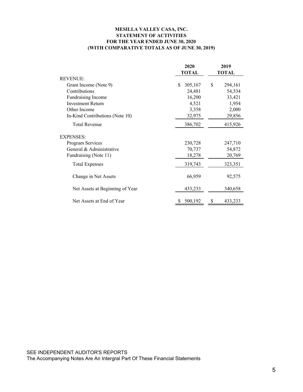## **MESILLA VALLEY CASA, INC. STATEMENT OF ACTIVITIES FOR THE YEAR ENDED JUNE 30, 2020 (WITH COMPARATIVE TOTALS AS OF JUNE 30, 2019)**

|                                 | 2020<br><b>TOTAL</b> | 2019<br><b>TOTAL</b> |         |  |
|---------------------------------|----------------------|----------------------|---------|--|
| REVENUE:                        |                      |                      |         |  |
| Grant Income (Note 9)           | \$.<br>305,167       | \$                   | 294,161 |  |
| Contributions                   | 24,481               |                      | 54,534  |  |
| Fundraising Income              | 16,200               |                      | 33,421  |  |
| <b>Investment Return</b>        | 4,521                |                      | 1,954   |  |
| Other Income                    | 3,358                |                      | 2,000   |  |
| In-Kind Contributions (Note 10) | 32,975               |                      | 29,856  |  |
| <b>Total Revenue</b>            | 386,702              |                      | 415,926 |  |
| EXPENSES:                       |                      |                      |         |  |
| Program Services                | 230,728              |                      | 247,710 |  |
| General & Administrative        | 70,737               |                      | 54,872  |  |
| Fundraising (Note 11)           | 18,278               |                      | 20,769  |  |
| <b>Total Expenses</b>           | 319,743              |                      | 323,351 |  |
| Change in Net Assets            | 66,959               |                      | 92,575  |  |
| Net Assets at Beginning of Year | 433,233              |                      | 340,658 |  |
| Net Assets at End of Year       | 500,192              | S                    | 433,233 |  |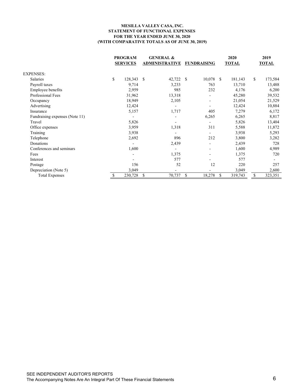#### **(WITH COMPARATIVE TOTALS AS OF JUNE 30, 2019) FOR THE YEAR ENDED JUNE 30, 2020 STATEMENT OF FUNCTIONAL EXPENSES MESILLA VALLEY CASA, INC.**

|                                | <b>PROGRAM</b> |                 | <b>GENERAL &amp;</b>  |                          |                    | 2020                     |               | 2019         |     |              |
|--------------------------------|----------------|-----------------|-----------------------|--------------------------|--------------------|--------------------------|---------------|--------------|-----|--------------|
|                                |                | <b>SERVICES</b> | <b>ADMINISTRATIVE</b> |                          | <b>FUNDRAISING</b> |                          |               | <b>TOTAL</b> |     | <b>TOTAL</b> |
| <b>EXPENSES:</b>               |                |                 |                       |                          |                    |                          |               |              |     |              |
| Salaries                       | \$             | 128,343         | <sup>\$</sup>         | 42,722                   | <sup>\$</sup>      | 10,078                   | -S            | 181,143      | \$. | 173,584      |
| Payroll taxes                  |                | 9,714           |                       | 3,233                    |                    | 763                      |               | 13,710       |     | 13,488       |
| Employee benefits              |                | 2,959           |                       | 985                      |                    | 232                      |               | 4,176        |     | 6,200        |
| Professional Fees              |                | 31,962          |                       | 13,318                   |                    | -                        |               | 45,280       |     | 39,532       |
| Occupancy                      |                | 18,949          |                       | 2,105                    |                    |                          |               | 21,054       |     | 21,529       |
| Advertising                    |                | 12,424          |                       |                          |                    |                          |               | 12,424       |     | 10,884       |
| Insurance                      |                | 5,157           |                       | 1,717                    |                    | 405                      |               | 7,279        |     | 6,172        |
| Fundraising expenses (Note 11) |                |                 |                       | $\overline{\phantom{a}}$ |                    | 6,265                    |               | 6,265        |     | 8,817        |
| Travel                         |                | 5,826           |                       | ۰                        |                    |                          |               | 5,826        |     | 13,404       |
| Office expenses                |                | 3,959           |                       | 1,318                    |                    | 311                      |               | 5,588        |     | 11,872       |
| Training                       |                | 3,938           |                       | $\overline{\phantom{a}}$ |                    |                          |               | 3,938        |     | 5,293        |
| Telephone                      |                | 2,692           |                       | 896                      |                    | 212                      |               | 3,800        |     | 3,282        |
| Donations                      |                |                 |                       | 2,439                    |                    |                          |               | 2,439        |     | 728          |
| Conferences and seminars       |                | 1,600           |                       |                          |                    |                          |               | 1,600        |     | 4,989        |
| Fees                           |                |                 |                       | 1,375                    |                    | $\overline{\phantom{a}}$ |               | 1,375        |     | 720          |
| Interest                       |                | ۰               |                       | 577                      |                    |                          |               | 577          |     |              |
| Postage                        |                | 156             |                       | 52                       |                    | 12                       |               | 220          |     | 257          |
| Depreciation (Note 5)          |                | 3,049           |                       |                          |                    |                          |               | 3,049        |     | 2,600        |
| <b>Total Expenses</b>          | \$             | 230,728         | S                     | 70,737                   | <sup>\$</sup>      | 18,278                   | <sup>\$</sup> | 319,743      | \$  | 323,351      |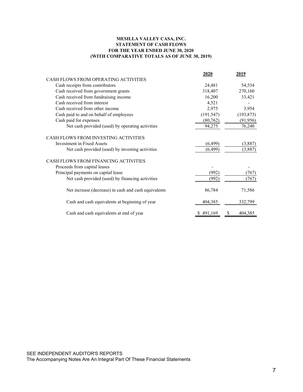## **MESILLA VALLEY CASA, INC. STATEMENT OF CASH FLOWS FOR THE YEAR ENDED JUNE 30, 2020 (WITH COMPARATIVE TOTALS AS OF JUNE 30, 2019)**

|                                                      | 2020       | <u>2019</u> |
|------------------------------------------------------|------------|-------------|
| CASH FLOWS FROM OPERATING ACTIVITIES                 |            |             |
| Cash receipts from contributors                      | 24,481     | 54,534      |
| Cash received from government grants                 | 318,407    | 270,160     |
| Cash received from fundraising income                | 16,200     | 33,421      |
| Cash received from interest                          | 4,521      |             |
| Cash received from other income                      | 2,975      | 3,954       |
| Cash paid to and on behalf of employees              | (191, 547) | (193, 873)  |
| Cash paid for expenses                               | (80, 762)  | (91, 956)   |
| Net cash provided (used) by operating activities     | 94,275     | 76,240      |
| CASH FLOWS FROM INVESTING ACTIVITIES                 |            |             |
| Investment in Fixed Assets                           | (6, 499)   | (3,887)     |
| Net cash provided (used) by investing activities     | (6, 499)   | (3,887)     |
| CASH FLOWS FROM FINANCING ACTIVITIES                 |            |             |
| Proceeds from capital leases                         |            |             |
| Principal payments on capital lease                  | (992)      | (767)       |
| Net cash provided (used) by financing activities     | (992)      | (767)       |
| Net increase (decrease) in cash and cash equivalents | 86,784     | 71,586      |
| Cash and cash equivalents at beginning of year       | 404,385    | 332,799     |
| Cash and cash equivalents at end of year             | 491,169    | 404,385     |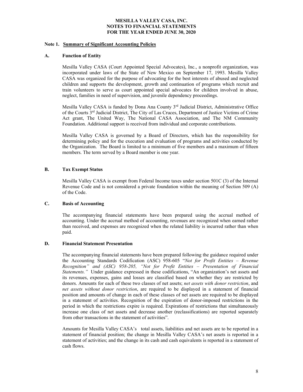## **Note 1. Summary of Significant Accounting Policies**

## **A. Function of Entity**

Mesilla Valley CASA (Court Appointed Special Advocates), Inc., a nonprofit organization, was incorporated under laws of the State of New Mexico on September 17, 1993. Mesilla Valley CASA was organized for the purpose of advocating for the best interests of abused and neglected children and supports the development, growth and continuation of programs which recruit and train volunteers to serve as court appointed special advocates for children involved in abuse, neglect, families in need of supervision, and juvenile dependency proceedings.

Mesilla Valley CASA is funded by Dona Ana County  $3<sup>rd</sup>$  Judicial District, Administrative Office of the Courts 3rd Judicial District, The City of Las Cruces, Department of Justice Victims of Crime Act grant, The United Way, The National CASA Association, and The NM Community Foundation. Additional support is received from individual and corporate contributions.

Mesilla Valley CASA is governed by a Board of Directors, which has the responsibility for determining policy and for the execution and evaluation of programs and activities conducted by the Organization. The Board is limited to a minimum of five members and a maximum of fifteen members. The term served by a Board member is one year.

## **B. Tax Exempt Status**

Mesilla Valley CASA is exempt from Federal Income taxes under section 501C (3) of the Internal Revenue Code and is not considered a private foundation within the meaning of Section 509 (A) of the Code.

## **C. Basis of Accounting**

The accompanying financial statements have been prepared using the accrual method of accounting. Under the accrual method of accounting, revenues are recognized when earned rather than received, and expenses are recognized when the related liability is incurred rather than when paid.

#### **D. Financial Statement Presentation**

The accompanying financial statements have been prepared following the guidance required under the Accounting Standards Codification (ASC) 958-605 "*Not for Profit Entities – Revenue Recognition" and (ASC) 958-205, "Not for Profit Entities – Presentation of Financial Statements."* Under guidance expressed in these codifications, "An organization's net assets and its revenues, expenses, gains and losses are classified based on whether they are restricted by donors. Amounts for each of these two classes of net assets; *net assets with donor restriction*, and *net assets without donor restriction*, are required to be displayed in a statement of financial position and amounts of change in each of these classes of net assets are required to be displayed in a statement of activities. Recognition of the expiration of donor-imposed restrictions in the period in which the restrictions expire is required. Expirations of restrictions that simultaneously increase one class of net assets and decrease another (reclassifications) are reported separately from other transactions in the statement of activities".

Amounts for Mesilla Valley CASA's total assets, liabilities and net assets are to be reported in a statement of financial position; the change in Mesilla Valley CASA's net assets is reported in a statement of activities; and the change in its cash and cash equivalents is reported in a statement of cash flows.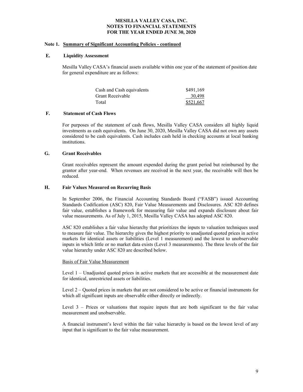#### **Note 1. Summary of Significant Accounting Policies - continued**

## **E. Liquidity Assessment**

Mesilla Valley CASA's financial assets available within one year of the statement of position date for general expenditure are as follows:

| Cash and Cash equivalents | \$491.169 |
|---------------------------|-----------|
| <b>Grant Receivable</b>   | 30.498    |
| Total                     | \$521,667 |

## **F. Statement of Cash Flows**

For purposes of the statement of cash flows, Mesilla Valley CASA considers all highly liquid investments as cash equivalents. On June 30, 2020, Mesilla Valley CASA did not own any assets considered to be cash equivalents. Cash includes cash held in checking accounts at local banking institutions.

## **G. Grant Receivables**

Grant receivables represent the amount expended during the grant period but reimbursed by the grantor after year-end. When revenues are received in the next year, the receivable will then be reduced.

## **H. Fair Values Measured on Recurring Basis**

In September 2006, the Financial Accounting Standards Board ("FASB") issued Accounting Standards Codification (ASC) 820, Fair Value Measurements and Disclosures. ASC 820 defines fair value, establishes a framework for measuring fair value and expands disclosure about fair value measurements. As of July 1, 2015, Mesilla Valley CASA has adopted ASC 820.

ASC 820 establishes a fair value hierarchy that prioritizes the inputs to valuation techniques used to measure fair value. The hierarchy gives the highest priority to unadjusted quoted prices in active markets for identical assets or liabilities (Level 1 measurement) and the lowest to unobservable inputs in which little or no market data exists (Level 3 measurements). The three levels of the fair value hierarchy under ASC 820 are described below.

#### Basis of Fair Value Measurement

Level 1 – Unadjusted quoted prices in active markets that are accessible at the measurement date for identical, unrestricted assets or liabilities.

Level 2 – Quoted prices in markets that are not considered to be active or financial instruments for which all significant inputs are observable either directly or indirectly.

Level 3 – Prices or valuations that require inputs that are both significant to the fair value measurement and unobservable.

A financial instrument's level within the fair value hierarchy is based on the lowest level of any input that is significant to the fair value measurement.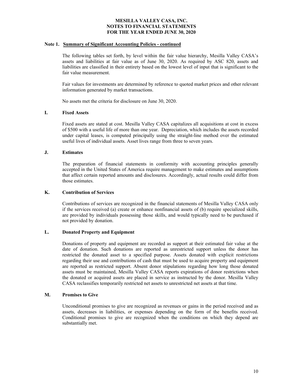#### **Note 1. Summary of Significant Accounting Policies - continued**

The following tables set forth, by level within the fair value hierarchy, Mesilla Valley CASA's assets and liabilities at fair value as of June 30, 2020. As required by ASC 820, assets and liabilities are classified in their entirety based on the lowest level of input that is significant to the fair value measurement.

Fair values for investments are determined by reference to quoted market prices and other relevant information generated by market transactions.

No assets met the criteria for disclosure on June 30, 2020.

## **I. Fixed Assets**

Fixed assets are stated at cost. Mesilla Valley CASA capitalizes all acquisitions at cost in excess of \$500 with a useful life of more than one year. Depreciation, which includes the assets recorded under capital leases, is computed principally using the straight-line method over the estimated useful lives of individual assets. Asset lives range from three to seven years.

## **J. Estimates**

The preparation of financial statements in conformity with accounting principles generally accepted in the United States of America require management to make estimates and assumptions that affect certain reported amounts and disclosures. Accordingly, actual results could differ from those estimates.

## **K. Contribution of Services**

Contributions of services are recognized in the financial statements of Mesilla Valley CASA only if the services received (a) create or enhance nonfinancial assets of (b) require specialized skills, are provided by individuals possessing those skills, and would typically need to be purchased if not provided by donation.

## **L. Donated Property and Equipment**

Donations of property and equipment are recorded as support at their estimated fair value at the date of donation. Such donations are reported as unrestricted support unless the donor has restricted the donated asset to a specified purpose. Assets donated with explicit restrictions regarding their use and contributions of cash that must be used to acquire property and equipment are reported as restricted support. Absent donor stipulations regarding how long those donated assets must be maintained, Mesilla Valley CASA reports expirations of donor restrictions when the donated or acquired assets are placed in service as instructed by the donor. Mesilla Valley CASA reclassifies temporarily restricted net assets to unrestricted net assets at that time.

#### **M. Promises to Give**

Unconditional promises to give are recognized as revenues or gains in the period received and as assets, decreases in liabilities, or expenses depending on the form of the benefits received. Conditional promises to give are recognized when the conditions on which they depend are substantially met.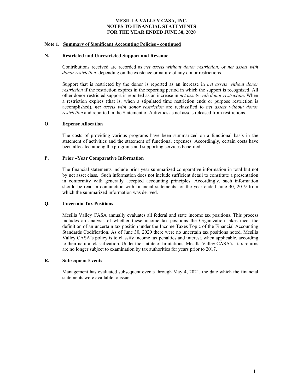#### **Note 1. Summary of Significant Accounting Policies - continued**

#### **N. Restricted and Unrestricted Support and Revenue**

Contributions received are recorded as *net assets without donor restriction*, or *net assets with donor restriction*, depending on the existence or nature of any donor restrictions.

Support that is restricted by the donor is reported as an increase in *net assets without donor restriction* if the restriction expires in the reporting period in which the support is recognized. All other donor-restricted support is reported as an increase in *net assets with donor restriction*. When a restriction expires (that is, when a stipulated time restriction ends or purpose restriction is accomplished), *net assets with donor restriction* are reclassified to *net assets without donor restriction* and reported in the Statement of Activities as net assets released from restrictions.

## **O. Expense Allocation**

The costs of providing various programs have been summarized on a functional basis in the statement of activities and the statement of functional expenses. Accordingly, certain costs have been allocated among the programs and supporting services benefited.

## **P. Prior –Year Comparative Information**

The financial statements include prior year summarized comparative information in total but not by net asset class. Such information does not include sufficient detail to constitute a presentation in conformity with generally accepted accounting principles. Accordingly, such information should be read in conjunction with financial statements for the year ended June 30, 2019 from which the summarized information was derived.

## **Q. Uncertain Tax Positions**

Mesilla Valley CASA annually evaluates all federal and state income tax positions. This process includes an analysis of whether these income tax positions the Organization takes meet the definition of an uncertain tax position under the Income Taxes Topic of the Financial Accounting Standards Codification. As of June 30, 2020 there were no uncertain tax positions noted. Mesilla Valley CASA's policy is to classify income tax penalties and interest, when applicable, according to their natural classification. Under the statute of limitations, Mesilla Valley CASA's tax returns are no longer subject to examination by tax authorities for years prior to 2017.

## **R. Subsequent Events**

Management has evaluated subsequent events through May 4, 2021, the date which the financial statements were available to issue.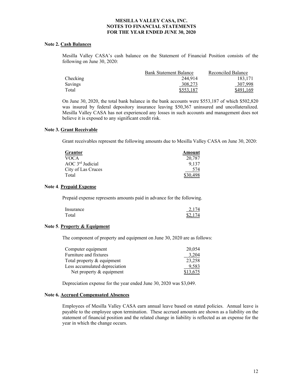## **Note 2. Cash Balances**

Mesilla Valley CASA's cash balance on the Statement of Financial Position consists of the following on June 30, 2020:

|          | Bank Statement Balance | Reconciled Balance |
|----------|------------------------|--------------------|
| Checking | 244,914                | 183.171            |
| Savings  | 308,273                | 307,998            |
| Total    | \$553.187              | \$491.169          |

On June 30, 2020, the total bank balance in the bank accounts were \$553,187 of which \$502,820 was insured by federal depository insurance leaving \$50,367 uninsured and uncollateralized. Mesilla Valley CASA has not experienced any losses in such accounts and management does not believe it is exposed to any significant credit risk.

## **Note 3. Grant Receivable**

Grant receivables represent the following amounts due to Mesilla Valley CASA on June 30, 2020:

| <b>Grantor</b>     | Amount |
|--------------------|--------|
| <b>VOCA</b>        | 20,787 |
| AOC $3rd$ Judicial | 9.137  |
| City of Las Cruces | 574    |
| Total              |        |

## **Note 4**. **Prepaid Expense**

Prepaid expense represents amounts paid in advance for the following.

| Insurance | 2.174   |
|-----------|---------|
| Total     | \$2.174 |

#### **Note 5**. **Property & Equipment**

The component of property and equipment on June 30, 2020 are as follows:

| Computer equipment            | 20,054   |
|-------------------------------|----------|
| Furniture and fixtures        | 3,204    |
| Total property $\&$ equipment | 23,258   |
| Less accumulated depreciation | 9.583    |
| Net property & equipment      | \$13,675 |

Depreciation expense for the year ended June 30, 2020 was \$3,049.

## **Note 6. Accrued Compensated Absences**

Employees of Mesilla Valley CASA earn annual leave based on stated policies. Annual leave is payable to the employee upon termination. These accrued amounts are shown as a liability on the statement of financial position and the related change in liability is reflected as an expense for the year in which the change occurs.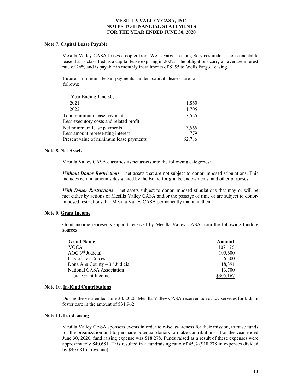## **Note 7. Capital Lease Payable**

Mesilla Valley CASA leases a copier from Wells Fargo Leasing Services under a non-cancelable lease that is classified as a capital lease expiring in 2022. The obligations carry an average interest rate of 26% and is payable in monthly installments of \$155 to Wells Fargo Leasing.

Future minimum lease payments under capital leases are as follows:

| Year Ending June 30,                    |       |
|-----------------------------------------|-------|
| 2021                                    | 1,860 |
| 2022                                    | 1,705 |
| Total minimum lease payments            | 3,565 |
| Less executory costs and related profit |       |
| Net minimum lease payments              | 3,565 |
| Less amount representing interest       | 779   |
| Present value of minimum lease payments |       |

## **Note 8. Net Assets**

Mesilla Valley CASA classifies its net assets into the following categories:

*Without Donor Restrictions* – net assets that are not subject to donor-imposed stipulations. This includes certain amounts designated by the Board for grants, endowments, and other purposes.

*With Donor Restrictions* – net assets subject to donor-imposed stipulations that may or will be met either by actions of Mesilla Valley CASA and/or the passage of time or are subject to donorimposed restrictions that Mesilla Valley CASA permanently maintain them.

## **Note 9. Grant Income**

Grant income represents support received by Mesilla Valley CASA from the following funding sources:

| <b>Grant Name</b>                  | Amount    |
|------------------------------------|-----------|
| <b>VOCA</b>                        | 107,176   |
| AOC 3rd Judicial                   | 109,600   |
| City of Las Cruces                 | 56,300    |
| Doña Ana County $-3^{rd}$ Judicial | 18.391    |
| National CASA Association          | 13,700    |
| Total Grant Income                 | \$305,167 |

#### **Note 10. In-Kind Contributions**

During the year ended June 30, 2020, Mesilla Valley CASA received advocacy services for kids in foster care in the amount of \$31,962.

## **Note 11. Fundraising**

Mesilla Valley CASA sponsors events in order to raise awareness for their mission, to raise funds for the organization and to persuade potential donors to make contributions. For the year ended June 30, 2020, fund raising expense was \$18,278. Funds raised as a result of these expenses were approximately \$40,681. This resulted in a fundraising ratio of 45% (\$18,278 in expenses divided by \$40,681 in revenue).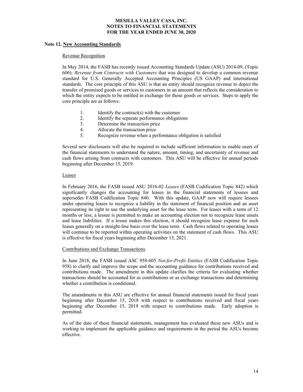## **Note 12. New Accounting Standards**

#### Revenue Recognition

In May 2014, the FASB has recently issued Accounting Standards Update (ASU) 2014-09, (Topic 606): *Revenue from Contracts with Customers* that was designed to develop a common revenue standard for U.S. Generally Accepted Accounting Principles (US GAAP) and international standards. The core principle of this ASU is that an entity should recognize revenue to depict the transfer of promised goods or services to customers in an amount that reflects the consideration to which the entity expects to be entitled in exchange for those goods or services. Steps to apply the core principle are as follows:

- 1. Identify the contract(s) with the customer
- 2. Identify the separate performance obligations
- 3. Determine the transaction price
- 4. Allocate the transaction price
- 5. Recognize revenue when a performance obligation is satisfied

Several new disclosures will also be required to include sufficient information to enable users of the financial statements to understand the nature, amount, timing, and uncertainty of revenue and cash flows arising from contracts with customers. This ASU will be effective for annual periods beginning after December 15, 2019.

#### Leases

In February 2016, the FASB issued ASU 2016-02 *Leases* (FASB Codification Topic 842) which significantly changes the accounting for leases in the financial statements of lessees and supersedes FASB Codification Topic 840. With this update, GAAP now will require lessees under operating leases to recognize a liability in the statement of financial position and an asset representing its right to use the underlying asset for the lease term. For leases with a term of 12 months or less, a lessee is permitted to make an accounting election not to recognize lease assets and lease liabilities. If a lessee makes this election, it should recognize lease expense for such leases generally on a straight-line basis over the lease term. Cash flows related to operating leases will continue to be reported within operating activities on the statement of cash flows. This ASU is effective for fiscal years beginning after December 15, 2021.

#### Contributions and Exchange Transactions

In June 2018, the FASB issued ASC 958-605 *Not-for-Profit Entities* (FASB Codification Topic 958) to clarify and improve the scope and the accounting guidance for contributions received and contributions made. The amendment in this update clarifies the criteria for evaluating whether transactions should be accounted for as contributions or as exchange transactions and determining whether a contribution is conditional.

The amendments in this ASU are effective for annual financial statements issued for fiscal years beginning after December 15, 2018 with respect to contributions received and fiscal years beginning after December 15, 2019 with respect to contributions made. Early adoption is permitted.

As of the date of these financial statements, management has evaluated these new ASUs and is working to implement the applicable guidance and requirements in the period the ASUs become effective.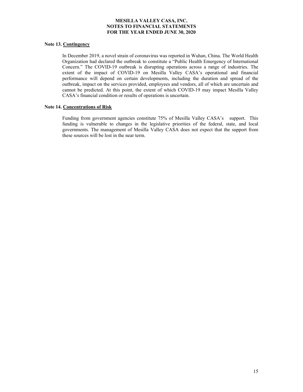## **Note 13. Contingency**

In December 2019, a novel strain of coronavirus was reported in Wuhan, China. The World Health Organization had declared the outbreak to constitute a "Public Health Emergency of International Concern." The COVID-19 outbreak is disrupting operations across a range of industries. The extent of the impact of COVID-19 on Mesilla Valley CASA's operational and financial performance will depend on certain developments, including the duration and spread of the outbreak, impact on the services provided, employees and vendors, all of which are uncertain and cannot be predicted. At this point, the extent of which COVID-19 may impact Mesilla Valley CASA's financial condition or results of operations is uncertain.

## **Note 14. Concentrations of Risk**

Funding from government agencies constitute 75% of Mesilla Valley CASA's support. This funding is vulnerable to changes in the legislative priorities of the federal, state, and local governments. The management of Mesilla Valley CASA does not expect that the support from these sources will be lost in the near term.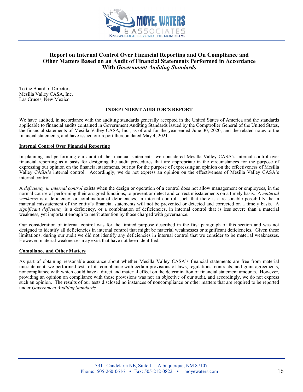

## **Report on Internal Control Over Financial Reporting and On Compliance and Other Matters Based on an Audit of Financial Statements Performed in Accordance With** *Government Auditing Standards*

To the Board of Directors Mesilla Valley CASA, Inc. Las Cruces, New Mexico

#### **INDEPENDENT AUDITOR'S REPORT**

We have audited, in accordance with the auditing standards generally accepted in the United States of America and the standards applicable to financial audits contained in Government Auditing Standards issued by the Comptroller General of the United States, the financial statements of Mesilla Valley CASA, Inc., as of and for the year ended June 30, 2020, and the related notes to the financial statements, and have issued our report thereon dated May 4, 2021.

## **Internal Control Over Financial Reporting**

In planning and performing our audit of the financial statements, we considered Mesilla Valley CASA's internal control over financial reporting as a basis for designing the audit procedures that are appropriate in the circumstances for the purpose of expressing our opinion on the financial statements, but not for the purpose of expressing an opinion on the effectiveness of Mesilla Valley CASA's internal control. Accordingly, we do not express an opinion on the effectiveness of Mesilla Valley CASA's internal control.

A *deficiency in internal control* exists when the design or operation of a control does not allow management or employees, in the normal course of performing their assigned functions, to prevent or detect and correct misstatements on a timely basis. A *material weakness* is a deficiency, or combination of deficiencies, in internal control, such that there is a reasonable possibility that a material misstatement of the entity's financial statements will not be prevented or detected and corrected on a timely basis. A *significant deficiency* is a deficiency, or a combination of deficiencies, in internal control that is less severe than a material weakness, yet important enough to merit attention by those charged with governance.

Our consideration of internal control was for the limited purpose described in the first paragraph of this section and was not designed to identify all deficiencies in internal control that might be material weaknesses or significant deficiencies. Given these limitations, during our audit we did not identify any deficiencies in internal control that we consider to be material weaknesses. However, material weaknesses may exist that have not been identified.

#### **Compliance and Other Matters**

As part of obtaining reasonable assurance about whether Mesilla Valley CASA's financial statements are free from material misstatement, we performed tests of its compliance with certain provisions of laws, regulations, contracts, and grant agreements, noncompliance with which could have a direct and material effect on the determination of financial statement amounts. However, providing an opinion on compliance with those provisions was not an objective of our audit, and accordingly, we do not express such an opinion. The results of our tests disclosed no instances of noncompliance or other matters that are required to be reported under *Government Auditing Standards.*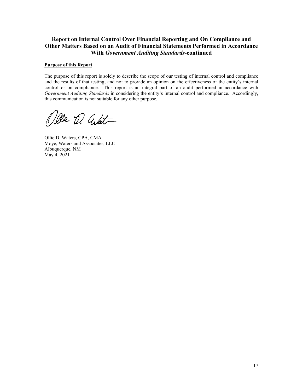# **Report on Internal Control Over Financial Reporting and On Compliance and Other Matters Based on an Audit of Financial Statements Performed in Accordance With** *Government Auditing Standards***-continued**

## **Purpose of this Report**

The purpose of this report is solely to describe the scope of our testing of internal control and compliance and the results of that testing, and not to provide an opinion on the effectiveness of the entity's internal control or on compliance. This report is an integral part of an audit performed in accordance with *Government Auditing Standards* in considering the entity's internal control and compliance. Accordingly, this communication is not suitable for any other purpose.

Olle D. Wat-

Ollie D. Waters, CPA, CMA Moye, Waters and Associates, LLC Albuquerque, NM May 4, 2021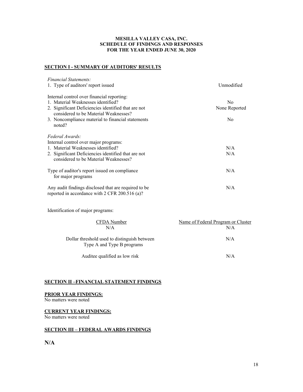## **MESILLA VALLEY CASA, INC. SCHEDULE OF FINDINGS AND RESPONSES FOR THE YEAR ENDED JUNE 30, 2020**

## **SECTION I - SUMMARY OF AUDITORS' RESULTS**

| <b>Financial Statements:</b>                         |                |
|------------------------------------------------------|----------------|
| 1. Type of auditors' report issued                   | Unmodified     |
|                                                      |                |
| Internal control over financial reporting:           |                |
| 1. Material Weaknesses identified?                   | N <sub>0</sub> |
| 2. Significant Deficiencies identified that are not  | None Reported  |
| considered to be Material Weaknesses?                |                |
| 3. Noncompliance material to financial statements    | N <sub>0</sub> |
| noted?                                               |                |
| Federal Awards:                                      |                |
| Internal control over major programs:                |                |
| 1. Material Weaknesses identified?                   | N/A            |
| 2. Significant Deficiencies identified that are not  | N/A            |
| considered to be Material Weaknesses?                |                |
|                                                      |                |
| Type of auditor's report issued on compliance        | N/A            |
| for major programs                                   |                |
|                                                      |                |
| Any audit findings disclosed that are required to be | N/A            |
| reported in accordance with 2 CFR 200.516 (a)?       |                |
|                                                      |                |
| Identification of major programs:                    |                |
|                                                      |                |

| CFDA Number                                                                | Name of Federal Program or Cluster |
|----------------------------------------------------------------------------|------------------------------------|
| N/A                                                                        | N/A                                |
| Dollar threshold used to distinguish between<br>Type A and Type B programs | N/A                                |
| Auditee qualified as low risk                                              | N/A                                |

## **SECTION II –FINANCIAL STATEMENT FINDINGS**

## **PRIOR YEAR FINDINGS:**

No matters were noted

## **CURRENT YEAR FINDINGS:**

No matters were noted

## **SECTION III – FEDERAL AWARDS FINDINGS**

**N/A**